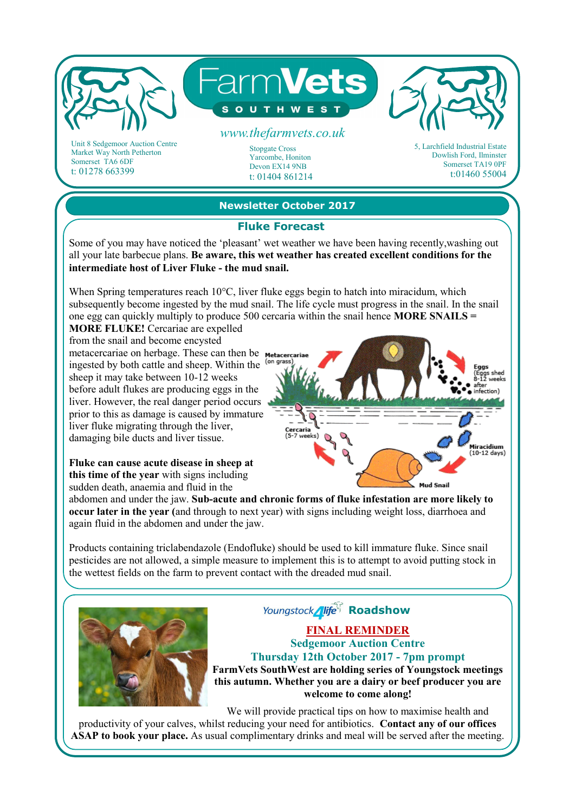

Market Way North Petherton Somerset TA6 6DF t: 01278 663399

#### Yarcombe, Honiton

Devon EX14 9NB t: 01404 861214 Dowlish Ford, Ilminster Somerset TA19 0PF t:01460 55004

**Newsletter October 2017** 

### **Fluke Forecast**

Some of you may have noticed the 'pleasant' wet weather we have been having recently,washing out all your late barbecue plans. **Be aware, this wet weather has created excellent conditions for the intermediate host of Liver Fluke - the mud snail.** 

When Spring temperatures reach 10<sup>o</sup>C, liver fluke eggs begin to hatch into miracidum, which subsequently become ingested by the mud snail. The life cycle must progress in the snail. In the snail one egg can quickly multiply to produce 500 cercaria within the snail hence **MORE SNAILS =** 

**MORE FLUKE!** Cercariae are expelled from the snail and become encysted metacercariae on herbage. These can then be Metacercari ingested by both cattle and sheep. Within the <sup>(on grad</sup>) sheep it may take between 10-12 weeks before adult flukes are producing eggs in the liver. However, the real danger period occurs prior to this as damage is caused by immature liver fluke migrating through the liver, damaging bile ducts and liver tissue.

**Fluke can cause acute disease in sheep at this time of the year** with signs including sudden death, anaemia and fluid in the



abdomen and under the jaw. **Sub-acute and chronic forms of fluke infestation are more likely to occur later in the year (**and through to next year) with signs including weight loss, diarrhoea and again fluid in the abdomen and under the jaw.

Products containing triclabendazole (Endofluke) should be used to kill immature fluke. Since snail pesticides are not allowed, a simple measure to implement this is to attempt to avoid putting stock in the wettest fields on the farm to prevent contact with the dreaded mud snail.



**Youngstock** *<i>Nife<sup>CT</sup>*</sup> **Roadshow** 

### **FINAL REMINDER Sedgemoor Auction Centre Thursday 12th October 2017 - 7pm prompt FarmVets SouthWest are holding series of Youngstock meetings**

**this autumn. Whether you are a dairy or beef producer you are welcome to come along!**

We will provide practical tips on how to maximise health and productivity of your calves, whilst reducing your need for antibiotics. **Contact any of our offices ASAP to book your place.** As usual complimentary drinks and meal will be served after the meeting.